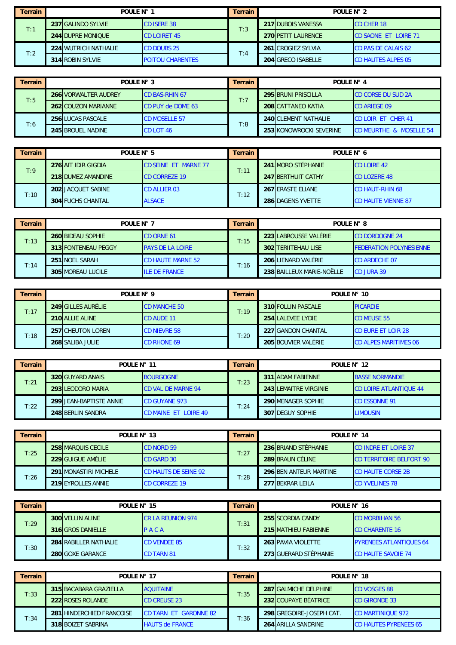| Terrain | POULE $N^{\circ}$ 1      |                         | Terrain | POULE N° 2                 |                              |  |
|---------|--------------------------|-------------------------|---------|----------------------------|------------------------------|--|
|         | 237 GALINDO SYLVIE       | <b>CD ISERE 38</b>      | T:3     | <b>217 IDUBOIS VANESSA</b> | <b>ICD CHER 18</b>           |  |
| T:1     | <b>244 DUPRE MONIOUE</b> | <b>CD LOIRET 45</b>     |         | <b>270 PETIT LAURENCE</b>  | <b>ICD SAONE ET LOIRE 71</b> |  |
| T:2     | 224 WUTRICH NATHALIE     | <b>CD DOUBS 25</b>      | T:4     | 261 CROGIEZ SYLVIA         | <b>CD PAS DE CALAIS 62</b>   |  |
|         | 314 ROBIN SYLVIE         | <b>POITOU CHARENTES</b> |         | 204 GRECO ISABELLE         | <b>CD HAUTES ALPES 05</b>    |  |

| Terrain | POULE N° 3                  |                          | Terrain | POULF $N^{\circ}$ 4       |                                    |  |  |
|---------|-----------------------------|--------------------------|---------|---------------------------|------------------------------------|--|--|
| T:5     | <b>266 VORWALTER AUDREY</b> | <b>CD BAS-RHIN 67</b>    | T:7     | 295 BRUNI PRISCILLA       | <b>CD CORSE DU SUD 2A</b>          |  |  |
|         | <b>262 COUZON MARIANNE</b>  | <b>CD PUY de DOME 63</b> |         | <b>208 CATTANEO KATIA</b> | <b>ICD ARIEGE 09</b>               |  |  |
|         | 256 LUCAS PASCALE           | <b>CD MOSELLE 57</b>     | T:8     | 240 CLEMENT NATHALIE      | <b>CD LOIR ET CHER 41</b>          |  |  |
| T:6     | <b>245 BROUEL NADINE</b>    | CD LOT 46                |         | 253 KONOWROCKI SEVERINE   | <b>CD MEURTHE &amp; MOSELLE 54</b> |  |  |

| Terrain | POULE N° 5 |                           | Terrain                     | POULE $N^{\circ}$ 6 |  |                           |                           |
|---------|------------|---------------------------|-----------------------------|---------------------|--|---------------------------|---------------------------|
|         |            | 276 AIT IDIR GIGDIA       | <b>CD SEINE ET MARNE 77</b> | T:11                |  | 241 MORO STÉPHANIE        | <b>CD LOIRE 42</b>        |
| T:9     |            | 218 DUMEZ AMANDINE        | <b>CD CORREZE 19</b>        |                     |  | <b>247 BERTHUIT CATHY</b> | <b>ICD LOZERE 48</b>      |
| T:10    |            | <b>202 JACQUET SABINE</b> | <b>CD ALLIER 03</b>         | T:12                |  | <b>267 ERASTE ELIANE</b>  | <b>CD HAUT-RHIN 68</b>    |
|         |            | <b>304 FUCHS CHANTAL</b>  | <b>ALSACE</b>               |                     |  | 286 DAGENS YVETTE         | <b>CD HAUTE VIENNE 87</b> |

| Terrain | POULE N° 7 |                          | <b>Terrain</b>           | POULE N° 8 |  |                            |                                |
|---------|------------|--------------------------|--------------------------|------------|--|----------------------------|--------------------------------|
| T:13    |            | <b>260 BIDEAU SOPHIE</b> | <b>CD ORNE 61</b>        | T:15       |  | 223 LABROUSSE VALÉRIE      | <b>CD DORDOGNE 24</b>          |
|         |            | 313 FONTENEAU PEGGY      | <b>PAYS DE LA LOIRE</b>  |            |  | <b>302 TERIITEHAU LISE</b> | <b>FEDERATION POLYNESIENNE</b> |
| T:14    |            | 251 NOEL SARAH           | <b>CD HAUTE MARNE 52</b> | T:16       |  | 206 LIENARD VALÉRIE        | <b>CD ARDECHE 07</b>           |
|         |            | <b>305 MOREAU LUCILE</b> | <b>ILE DE FRANCE</b>     |            |  | 238 BAILLEUX MARIE-NOËLLE  | CD JURA 39                     |

| Terrain | POULE N° 9 |                           | Terrain             | POULE N° 10 |  |                           |                              |
|---------|------------|---------------------------|---------------------|-------------|--|---------------------------|------------------------------|
|         |            | <b>249 GILLES AURÉLIE</b> | <b>CD MANCHE 50</b> | T:19        |  | <b>310 FOLLIN PASCALE</b> | <b>PICARDIE</b>              |
| T:17    |            | 210 ALLIE ALINE           | <b>ICD AUDE 11</b>  |             |  | 254 LALEVEE LYDIE         | <b>ICD MEUSE 55</b>          |
| T:18    |            | <b>257 CHEUTON LOREN</b>  | <b>CD NIEVRE 58</b> | T:20        |  | 227 GANDON CHANTAL        | <b>CD EURE ET LOIR 28</b>    |
|         |            | 268 SALIBA JULIE          | <b>CD RHONE 69</b>  |             |  | 205 BOUVIER VALÉRIE       | <b>CD ALPES MARITIMES 06</b> |

| <b>Terrain</b> | POULE N° 11                                              |                         | Terrain                   | POULE N° 12              |                 |                              |                               |
|----------------|----------------------------------------------------------|-------------------------|---------------------------|--------------------------|-----------------|------------------------------|-------------------------------|
| T:21           |                                                          | 320 GUYARD ANAIS        | <b>BOURGOGNE</b>          | T:23                     |                 | <b>311 ADAM FABIENNE</b>     | <b>BASSE NORMANDIE</b>        |
|                |                                                          | 293 LEODORO MARIA       | <b>CD VAL DE MARNE 94</b> |                          |                 | <b>243 LEMAITRE VIRGINIE</b> | <b>CD LOIRE ATLANTIQUE 44</b> |
| T:22           |                                                          | 299 JEAN-BAPTISTE ANNIE | <b>CD GUYANE 973</b>      |                          |                 | <b>290 MENAGER SOPHIE</b>    | <b>CD ESSONNE 91</b>          |
|                | T:24<br>248 BERLIN SANDRA<br><b>CD MAINE ET LOIRE 49</b> |                         |                           | 307 <b>IDEGUY SOPHIE</b> | <b>LIMOUSIN</b> |                              |                               |

| Terrain | POULE N° 13                                                 |                          | Terrain              | POULE N° 14 |                               |                          |                                  |
|---------|-------------------------------------------------------------|--------------------------|----------------------|-------------|-------------------------------|--------------------------|----------------------------------|
|         |                                                             | 258 MAROUIS CECILE       | <b>CD NORD 59</b>    | T:27        |                               | 236 BRIAND STÉPHANIE     | <b>CD INDRE ET LOIRE 37</b>      |
| T:25    |                                                             | <b>229 GUIGUE AMÉLIE</b> | <b>CD GARD 30</b>    |             |                               | 289 BRAUN CÉLINE         | <b>ICD TERRITOIRE BELFORT 90</b> |
|         | <b>CD HAUTS DE SEINE 92</b><br><b>291IMONASTIRI MICHELE</b> |                          |                      |             | <b>296 BEN ANTEUR MARTINE</b> | <b>CD HAUTE CORSE 2B</b> |                                  |
| T:26    |                                                             | 219 EYROLLES ANNIE       | <b>CD CORREZE 19</b> | T:28        |                               | 277 BEKRAR LEILA         | <b>CD YVELINES 78</b>            |

| Terrain | POULE N° 15                  |                          | Terrain | POULE N° 16 |                       |                                |  |
|---------|------------------------------|--------------------------|---------|-------------|-----------------------|--------------------------------|--|
|         | <b>300 VELLIN ALINE</b>      | <b>CR LA REUNION 974</b> | T:31    |             | 255 SCORDIA CANDY     | <b>CD MORBIHAN 56</b>          |  |
| T:29    | 316 GROS DANIELLE            | $P$ A C A                |         |             | 215 MATHIEU FABIENNE  | <b>CD CHARENTE 16</b>          |  |
|         | <b>284 RABILLER NATHALIE</b> | <b>CD VENDEE 85</b>      |         |             | 263 PAVIA VIOLETTE    | <b>PYRENEES ATLANTIQUES 64</b> |  |
| T:30    | <b>280IGOXE GARANCE</b>      | <b>CD TARN 81</b>        | T:32    |             | 273 GUERARD STÉPHANIE | <b>CD HAUTE SAVOIE 74</b>      |  |

| Terrain | POULE N° 17 |                                  | Terrain                      | POULE N° 18 |  |                            |                              |
|---------|-------------|----------------------------------|------------------------------|-------------|--|----------------------------|------------------------------|
| T:33    |             | 315 BACABARA GRAZIELLA           | <b>AOUITAINE</b>             | T:35        |  | 287 GALMICHE DELPHINE      | <b>CD VOSGES 88</b>          |
|         |             | 222 ROSES ROLANDE                | <b>CD CREUSE 23</b>          |             |  | 232 COUPAYE BÉATRICE       | <b>CD GIRONDE 33</b>         |
|         |             | <b>281 HINDERCHIED FRANCOISE</b> | <b>CD TARN ET GARONNE 82</b> | T:36        |  | 298 GREGOIRE-JOSEPH CAT.   | <b>CD MARTINIQUE 972</b>     |
| T:34    |             | 318 BOIZET SABRINA               | <b>HAUTS de FRANCE</b>       |             |  | <b>264 ARILLA SANDRINE</b> | <b>CD HAUTES PYRENEES 65</b> |